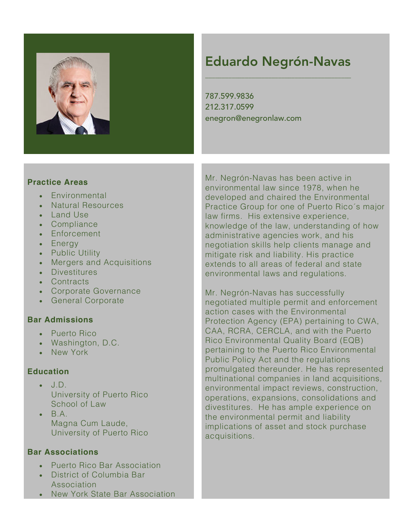

# Eduardo Negrón-Navas

\_\_\_\_\_\_\_\_\_\_\_\_\_\_\_\_\_\_\_\_\_\_\_\_\_\_\_\_\_\_\_\_\_\_\_\_\_\_\_\_\_\_\_\_

787.599.9836 212.317.0599 enegron@enegronlaw.com

#### **Practice Areas**

- Environmental
- Natural Resources
- Land Use
- Compliance
- Enforcement
- Energy
- Public Utility
- Mergers and Acquisitions
- Divestitures
- Contracts
- Corporate Governance
- General Corporate

## **Bar Admissions**

- Puerto Rico
- Washington, D.C.
- New York

## **Education**

- J.D. University of Puerto Rico School of Law
- $\mathsf{B.A.}$ Magna Cum Laude, University of Puerto Rico

## **Bar Associations**

- Puerto Rico Bar Association
- District of Columbia Bar Association
- New York State Bar Association

Mr. Negrón-Navas has been active in environmental law since 1978, when he developed and chaired the Environmental Practice Group for one of Puerto Rico´s major law firms. His extensive experience, knowledge of the law, understanding of how administrative agencies work, and his negotiation skills help clients manage and mitigate risk and liability. His practice extends to all areas of federal and state environmental laws and regulations.

Mr. Negrón-Navas has successfully negotiated multiple permit and enforcement action cases with the Environmental Protection Agency (EPA) pertaining to CWA, CAA, RCRA, CERCLA, and with the Puerto Rico Environmental Quality Board (EQB) pertaining to the Puerto Rico Environmental Public Policy Act and the regulations promulgated thereunder. He has represented multinational companies in land acquisitions, environmental impact reviews, construction, operations, expansions, consolidations and divestitures. He has ample experience on the environmental permit and liability implications of asset and stock purchase acquisitions.